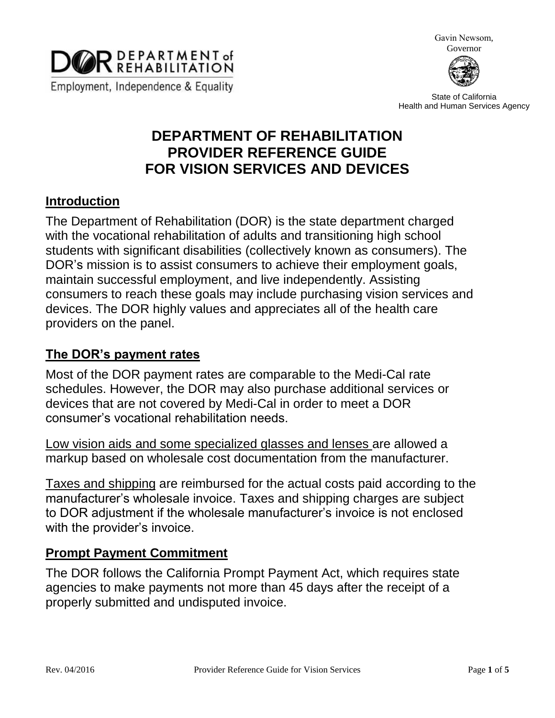

Gavin Newsom, Governor



State of California Health and Human Services Agency

# **DEPARTMENT OF REHABILITATION PROVIDER REFERENCE GUIDE FOR VISION SERVICES AND DEVICES**

#### **Introduction**

The Department of Rehabilitation (DOR) is the state department charged with the vocational rehabilitation of adults and transitioning high school students with significant disabilities (collectively known as consumers). The DOR's mission is to assist consumers to achieve their employment goals, maintain successful employment, and live independently. Assisting consumers to reach these goals may include purchasing vision services and devices. The DOR highly values and appreciates all of the health care providers on the panel.

### **The DOR's payment rates**

Most of the DOR payment rates are comparable to the Medi-Cal rate schedules. However, the DOR may also purchase additional services or devices that are not covered by Medi-Cal in order to meet a DOR consumer's vocational rehabilitation needs.

Low vision aids and some specialized glasses and lenses are allowed a markup based on wholesale cost documentation from the manufacturer.

Taxes and shipping are reimbursed for the actual costs paid according to the manufacturer's wholesale invoice. Taxes and shipping charges are subject to DOR adjustment if the wholesale manufacturer's invoice is not enclosed with the provider's invoice.

### **Prompt Payment Commitment**

The DOR follows the California Prompt Payment Act, which requires state agencies to make payments not more than 45 days after the receipt of a properly submitted and undisputed invoice.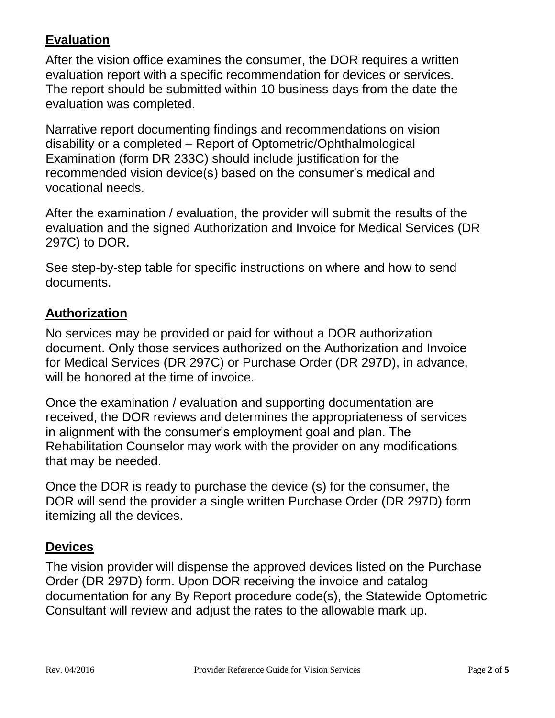## **Evaluation**

After the vision office examines the consumer, the DOR requires a written evaluation report with a specific recommendation for devices or services. The report should be submitted within 10 business days from the date the evaluation was completed.

Narrative report documenting findings and recommendations on vision disability or a completed – Report of Optometric/Ophthalmological Examination (form DR 233C) should include justification for the recommended vision device(s) based on the consumer's medical and vocational needs.

After the examination / evaluation, the provider will submit the results of the evaluation and the signed Authorization and Invoice for Medical Services (DR 297C) to DOR.

See step-by-step table for specific instructions on where and how to send documents.

### **Authorization**

No services may be provided or paid for without a DOR authorization document. Only those services authorized on the Authorization and Invoice for Medical Services (DR 297C) or Purchase Order (DR 297D), in advance, will be honored at the time of invoice.

Once the examination / evaluation and supporting documentation are received, the DOR reviews and determines the appropriateness of services in alignment with the consumer's employment goal and plan. The Rehabilitation Counselor may work with the provider on any modifications that may be needed.

Once the DOR is ready to purchase the device (s) for the consumer, the DOR will send the provider a single written Purchase Order (DR 297D) form itemizing all the devices.

### **Devices**

The vision provider will dispense the approved devices listed on the Purchase Order (DR 297D) form. Upon DOR receiving the invoice and catalog documentation for any By Report procedure code(s), the Statewide Optometric Consultant will review and adjust the rates to the allowable mark up.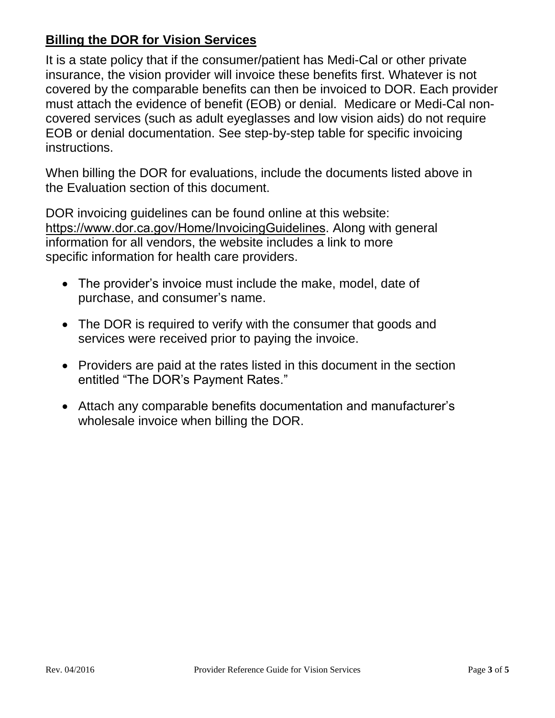## **Billing the DOR for Vision Services**

It is a state policy that if the consumer/patient has Medi-Cal or other private insurance, the vision provider will invoice these benefits first. Whatever is not covered by the comparable benefits can then be invoiced to DOR. Each provider must attach the evidence of benefit (EOB) or denial. Medicare or Medi-Cal noncovered services (such as adult eyeglasses and low vision aids) do not require EOB or denial documentation. See step-by-step table for specific invoicing instructions.

When billing the DOR for evaluations, include the documents listed above in the Evaluation section of this document.

DOR invoicing guidelines can be found online at this website: [https://www.dor.ca.gov/Home/InvoicingGuidelines](http://dor.ca.gov/Public/Invoicing-Guidelines-for-Vendors.html). Along with general information for all vendors, the website includes a link to more specific information for health care providers.

- The provider's invoice must include the make, model, date of purchase, and consumer's name.
- The DOR is required to verify with the consumer that goods and services were received prior to paying the invoice.
- Providers are paid at the rates listed in this document in the section entitled "The DOR's Payment Rates."
- Attach any comparable benefits documentation and manufacturer's wholesale invoice when billing the DOR.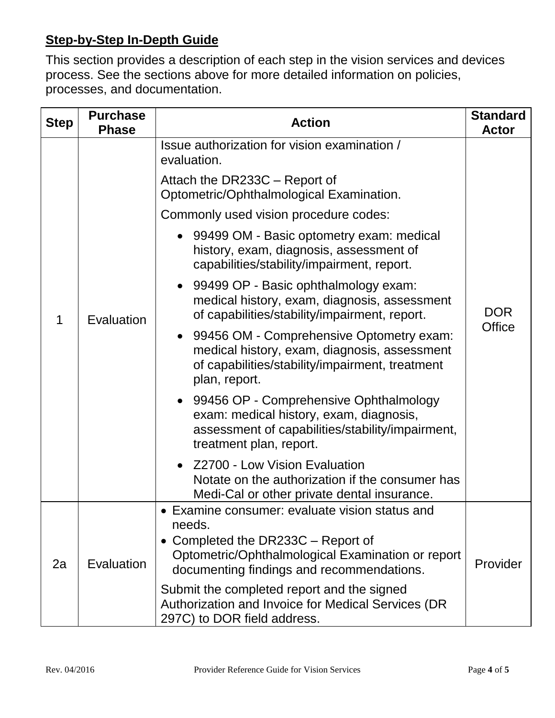## **Step-by-Step In-Depth Guide**

This section provides a description of each step in the vision services and devices process. See the sections above for more detailed information on policies, processes, and documentation.

| <b>Step</b> | <b>Purchase</b><br><b>Phase</b> | <b>Action</b>                                                                                                                                                                                                                                                                                                                                                                                                                                                                                                 | <b>Standard</b><br><b>Actor</b> |
|-------------|---------------------------------|---------------------------------------------------------------------------------------------------------------------------------------------------------------------------------------------------------------------------------------------------------------------------------------------------------------------------------------------------------------------------------------------------------------------------------------------------------------------------------------------------------------|---------------------------------|
|             | Evaluation                      | Issue authorization for vision examination /<br>evaluation.<br>Attach the DR233C - Report of<br>Optometric/Ophthalmological Examination.<br>Commonly used vision procedure codes:<br>• 99499 OM - Basic optometry exam: medical<br>history, exam, diagnosis, assessment of<br>capabilities/stability/impairment, report.<br>99499 OP - Basic ophthalmology exam:<br>medical history, exam, diagnosis, assessment<br>of capabilities/stability/impairment, report.<br>99456 OM - Comprehensive Optometry exam: | <b>DOR</b><br><b>Office</b>     |
|             |                                 | medical history, exam, diagnosis, assessment<br>of capabilities/stability/impairment, treatment<br>plan, report.<br>99456 OP - Comprehensive Ophthalmology<br>exam: medical history, exam, diagnosis,<br>assessment of capabilities/stability/impairment,<br>treatment plan, report.<br>Z2700 - Low Vision Evaluation<br>Notate on the authorization if the consumer has<br>Medi-Cal or other private dental insurance.                                                                                       |                                 |
| 2a          | Evaluation                      | Examine consumer: evaluate vision status and<br>needs.<br>Completed the DR233C – Report of<br>Optometric/Ophthalmological Examination or report<br>documenting findings and recommendations.<br>Submit the completed report and the signed<br>Authorization and Invoice for Medical Services (DR<br>297C) to DOR field address.                                                                                                                                                                               | Provider                        |